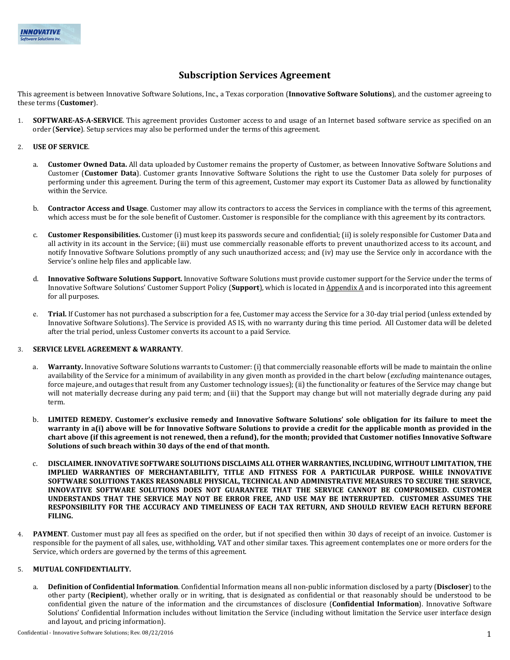# **Subscription Services Agreement**

This agreement is between Innovative Software Solutions, Inc., a Texas corporation (**Innovative Software Solutions**), and the customer agreeing to these terms (**Customer**).

**SOFTWARE-AS-A-SERVICE**. This agreement provides Customer access to and usage of an Internet based software service as specified on an order (**Service**). Setup services may also be performed under the terms of this agreement.

# 2. **USE OF SERVICE**.

- a. **Customer Owned Data.** All data uploaded by Customer remains the property of Customer, as between Innovative Software Solutions and Customer (**Customer Data**). Customer grants Innovative Software Solutions the right to use the Customer Data solely for purposes of performing under this agreement. During the term of this agreement, Customer may export its Customer Data as allowed by functionality within the Service.
- b. **Contractor Access and Usage**. Customer may allow its contractors to access the Services in compliance with the terms of this agreement, which access must be for the sole benefit of Customer. Customer is responsible for the compliance with this agreement by its contractors.
- c. **Customer Responsibilities.** Customer (i) must keep its passwords secure and confidential; (ii) is solely responsible for Customer Data and all activity in its account in the Service; (iii) must use commercially reasonable efforts to prevent unauthorized access to its account, and notify Innovative Software Solutions promptly of any such unauthorized access; and (iv) may use the Service only in accordance with the Service's online help files and applicable law.
- d. **Innovative Software Solutions Support.** Innovative Software Solutions must provide customer support for the Service under the terms of Innovative Software Solutions' Customer Support Policy (**Support**), which is located in Appendix A and is incorporated into this agreement for all purposes.
- e. **Trial.** If Customer has not purchased a subscription for a fee, Customer may access the Service for a 30-day trial period (unless extended by Innovative Software Solutions). The Service is provided AS IS, with no warranty during this time period. All Customer data will be deleted after the trial period, unless Customer converts its account to a paid Service.

### 3. **SERVICE LEVEL AGREEMENT & WARRANTY**.

- Warranty. Innovative Software Solutions warrants to Customer: (i) that commercially reasonable efforts will be made to maintain the online availability of the Service for a minimum of availability in any given month as provided in the chart below (*excluding* maintenance outages, force majeure, and outages that result from any Customer technology issues); (ii) the functionality or features of the Service may change but will not materially decrease during any paid term; and (iii) that the Support may change but will not materially degrade during any paid term.
- b. **LIMITED REMEDY. Customer's exclusive remedy and Innovative Software Solutions' sole obligation for its failure to meet the warranty in a(i) above will be for Innovative Software Solutions to provide a credit for the applicable month as provided in the chart above (if this agreement is not renewed, then a refund), for the month; provided that Customer notifies Innovative Software Solutions of such breach within 30 days of the end of that month.**
- c. **DISCLAIMER. INNOVATIVE SOFTWARE SOLUTIONS DISCLAIMS ALL OTHER WARRANTIES, INCLUDING, WITHOUT LIMITATION, THE IMPLIED WARRANTIES OF MERCHANTABILITY, TITLE AND FITNESS FOR A PARTICULAR PURPOSE. WHILE INNOVATIVE SOFTWARE SOLUTIONS TAKES REASONABLE PHYSICAL, TECHNICAL AND ADMINISTRATIVE MEASURES TO SECURE THE SERVICE, INNOVATIVE SOFTWARE SOLUTIONS DOES NOT GUARANTEE THAT THE SERVICE CANNOT BE COMPROMISED. CUSTOMER UNDERSTANDS THAT THE SERVICE MAY NOT BE ERROR FREE, AND USE MAY BE INTERRUPTED. CUSTOMER ASSUMES THE RESPONSIBILITY FOR THE ACCURACY AND TIMELINESS OF EACH TAX RETURN, AND SHOULD REVIEW EACH RETURN BEFORE FILING.**
- 4. **PAYMENT**. Customer must pay all fees as specified on the order, but if not specified then within 30 days of receipt of an invoice. Customer is responsible for the payment of all sales, use, withholding, VAT and other similar taxes. This agreement contemplates one or more orders for the Service, which orders are governed by the terms of this agreement.

# 5. **MUTUAL CONFIDENTIALITY.**

a. **Definition of Confidential Information**. Confidential Information means all non-public information disclosed by a party (**Discloser**) to the other party (**Recipient**), whether orally or in writing, that is designated as confidential or that reasonably should be understood to be confidential given the nature of the information and the circumstances of disclosure (**Confidential Information**). Innovative Software Solutions' Confidential Information includes without limitation the Service (including without limitation the Service user interface design and layout, and pricing information).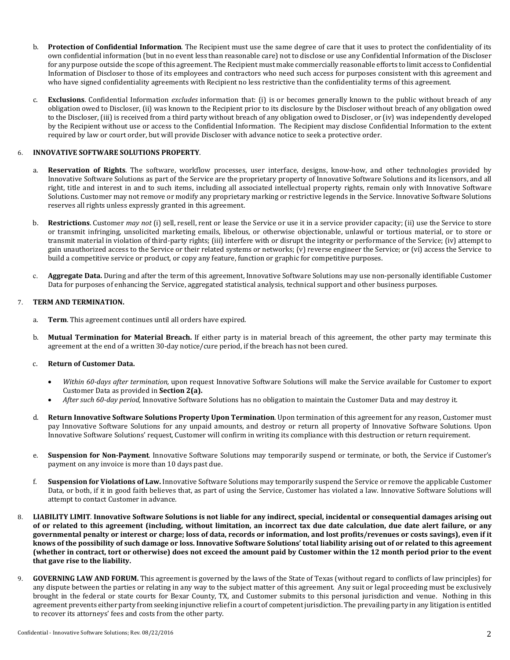- b. **Protection of Confidential Information**. The Recipient must use the same degree of care that it uses to protect the confidentiality of its own confidential information (but in no event less than reasonable care) not to disclose or use any Confidential Information of the Discloser for any purpose outside the scope of this agreement. The Recipient must make commercially reasonable efforts to limit access to Confidential Information of Discloser to those of its employees and contractors who need such access for purposes consistent with this agreement and who have signed confidentiality agreements with Recipient no less restrictive than the confidentiality terms of this agreement.
- c. **Exclusions**. Confidential Information *excludes* information that: (i) is or becomes generally known to the public without breach of any obligation owed to Discloser, (ii) was known to the Recipient prior to its disclosure by the Discloser without breach of any obligation owed to the Discloser, (iii) is received from a third party without breach of any obligation owed to Discloser, or (iv) was independently developed by the Recipient without use or access to the Confidential Information. The Recipient may disclose Confidential Information to the extent required by law or court order, but will provide Discloser with advance notice to seek a protective order.

# 6. **INNOVATIVE SOFTWARE SOLUTIONS PROPERTY**.

- a. **Reservation of Rights**. The software, workflow processes, user interface, designs, know-how, and other technologies provided by Innovative Software Solutions as part of the Service are the proprietary property of Innovative Software Solutions and its licensors, and all right, title and interest in and to such items, including all associated intellectual property rights, remain only with Innovative Software Solutions. Customer may not remove or modify any proprietary marking or restrictive legends in the Service. Innovative Software Solutions reserves all rights unless expressly granted in this agreement.
- b. **Restrictions**. Customer *may not* (i) sell, resell, rent or lease the Service or use it in a service provider capacity; (ii) use the Service to store or transmit infringing, unsolicited marketing emails, libelous, or otherwise objectionable, unlawful or tortious material, or to store or transmit material in violation of third-party rights; (iii) interfere with or disrupt the integrity or performance of the Service; (iv) attempt to gain unauthorized access to the Service or their related systems or networks; (v) reverse engineer the Service; or (vi) access the Service to build a competitive service or product, or copy any feature, function or graphic for competitive purposes.
- c. **Aggregate Data.** During and after the term of this agreement, Innovative Software Solutions may use non-personally identifiable Customer Data for purposes of enhancing the Service, aggregated statistical analysis, technical support and other business purposes.

#### 7. **TERM AND TERMINATION.**

- a. **Term**. This agreement continues until all orders have expired.
- b. **Mutual Termination for Material Breach.** If either party is in material breach of this agreement, the other party may terminate this agreement at the end of a written 30-day notice/cure period, if the breach has not been cured.

#### c. **Return of Customer Data.**

- *Within 60-days after termination,* upon request Innovative Software Solutions will make the Service available for Customer to export Customer Data as provided in **Section 2(a).**
- *After such 60-day period,* Innovative Software Solutions has no obligation to maintain the Customer Data and may destroy it.
- d. **Return Innovative Software Solutions Property Upon Termination**. Upon termination of this agreement for any reason, Customer must pay Innovative Software Solutions for any unpaid amounts, and destroy or return all property of Innovative Software Solutions. Upon Innovative Software Solutions' request, Customer will confirm in writing its compliance with this destruction or return requirement.
- e. **Suspension for Non-Payment**. Innovative Software Solutions may temporarily suspend or terminate, or both, the Service if Customer's payment on any invoice is more than 10 days past due.
- f. **Suspension for Violations of Law.** Innovative Software Solutions may temporarily suspend the Service or remove the applicable Customer Data, or both, if it in good faith believes that, as part of using the Service, Customer has violated a law. Innovative Software Solutions will attempt to contact Customer in advance.
- 8. **LIABILITY LIMIT**. **Innovative Software Solutions is not liable for any indirect, special, incidental or consequential damages arising out of or related to this agreement (including, without limitation, an incorrect tax due date calculation, due date alert failure, or any governmental penalty or interest or charge; loss of data, records or information, and lost profits/revenues or costs savings), even if it knows of the possibility of such damage or loss. Innovative Software Solutions' total liability arising out of or related to this agreement (whether in contract, tort or otherwise) does not exceed the amount paid by Customer within the 12 month period prior to the event that gave rise to the liability.**
- 9. **GOVERNING LAW AND FORUM.** This agreement is governed by the laws of the State of Texas (without regard to conflicts of law principles) for any dispute between the parties or relating in any way to the subject matter of this agreement. Any suit or legal proceeding must be exclusively brought in the federal or state courts for Bexar County, TX, and Customer submits to this personal jurisdiction and venue. Nothing in this agreement prevents either party from seeking injunctive relief in a court of competent jurisdiction. The prevailing party in any litigation is entitled to recover its attorneys' fees and costs from the other party.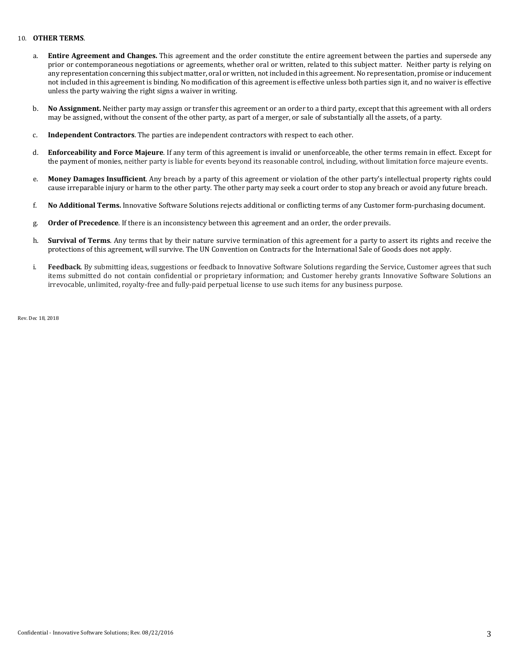### 10. **OTHER TERMS**.

- a. **Entire Agreement and Changes.** This agreement and the order constitute the entire agreement between the parties and supersede any prior or contemporaneous negotiations or agreements, whether oral or written, related to this subject matter. Neither party is relying on any representation concerning this subject matter, oral or written, not included in this agreement. No representation, promise or inducement not included in this agreement is binding. No modification of this agreement is effective unless both parties sign it, and no waiver is effective unless the party waiving the right signs a waiver in writing.
- b. **No Assignment.** Neither party may assign or transfer this agreement or an order to a third party, except that this agreement with all orders may be assigned, without the consent of the other party, as part of a merger, or sale of substantially all the assets, of a party.
- c. **Independent Contractors**. The parties are independent contractors with respect to each other.
- d. **Enforceability and Force Majeure**. If any term of this agreement is invalid or unenforceable, the other terms remain in effect. Except for the payment of monies, neither party is liable for events beyond its reasonable control, including, without limitation force majeure events.
- e. **Money Damages Insufficient**. Any breach by a party of this agreement or violation of the other party's intellectual property rights could cause irreparable injury or harm to the other party. The other party may seek a court order to stop any breach or avoid any future breach.
- f. **No Additional Terms.** Innovative Software Solutions rejects additional or conflicting terms of any Customer form-purchasing document.
- g. **Order of Precedence**. If there is an inconsistency between this agreement and an order, the order prevails.
- h. **Survival of Terms**. Any terms that by their nature survive termination of this agreement for a party to assert its rights and receive the protections of this agreement, will survive. The UN Convention on Contracts for the International Sale of Goods does not apply.
- i. **Feedback**. By submitting ideas, suggestions or feedback to Innovative Software Solutions regarding the Service, Customer agrees that such items submitted do not contain confidential or proprietary information; and Customer hereby grants Innovative Software Solutions an irrevocable, unlimited, royalty-free and fully-paid perpetual license to use such items for any business purpose.

Rev. Dec 18, 2018